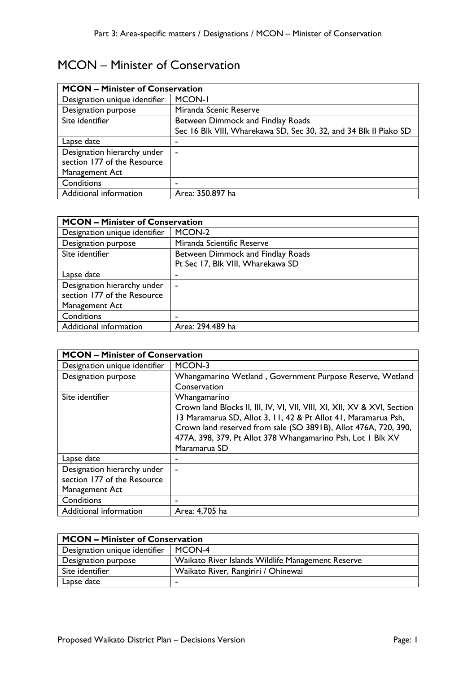## MCON – Minister of Conservation

| <b>MCON - Minister of Conservation</b> |                                                                   |
|----------------------------------------|-------------------------------------------------------------------|
| Designation unique identifier          | <b>MCON-I</b>                                                     |
| Designation purpose                    | Miranda Scenic Reserve                                            |
| Site identifier                        | Between Dimmock and Findlay Roads                                 |
|                                        | Sec 16 Blk VIII, Wharekawa SD, Sec 30, 32, and 34 Blk II Piako SD |
| Lapse date                             | ۰                                                                 |
| Designation hierarchy under            | $\blacksquare$                                                    |
| section 177 of the Resource            |                                                                   |
| Management Act                         |                                                                   |
| Conditions                             |                                                                   |
| Additional information                 | Area: 350.897 ha                                                  |

| <b>MCON - Minister of Conservation</b> |                                   |
|----------------------------------------|-----------------------------------|
| Designation unique identifier          | MCON-2                            |
| Designation purpose                    | Miranda Scientific Reserve        |
| Site identifier                        | Between Dimmock and Findlay Roads |
|                                        | Pt Sec 17, Blk VIII, Wharekawa SD |
| Lapse date                             |                                   |
| Designation hierarchy under            | ۰                                 |
| section 177 of the Resource            |                                   |
| Management Act                         |                                   |
| Conditions                             | ٠                                 |
| Additional information                 | Area: 294.489 ha                  |

| <b>MCON - Minister of Conservation</b> |                                                                          |
|----------------------------------------|--------------------------------------------------------------------------|
| Designation unique identifier          | MCON-3                                                                   |
| Designation purpose                    | Whangamarino Wetland, Government Purpose Reserve, Wetland                |
|                                        | Conservation                                                             |
| Site identifier                        | Whangamarino                                                             |
|                                        | Crown land Blocks II, III, IV, VI, VII, VIII, XI, XII, XV & XVI, Section |
|                                        | 13 Maramarua SD, Allot 3, 11, 42 & Pt Allot 41, Maramarua Psh,           |
|                                        | Crown land reserved from sale (SO 3891B), Allot 476A, 720, 390,          |
|                                        | 477A, 398, 379, Pt Allot 378 Whangamarino Psh, Lot I Blk XV              |
|                                        | Maramarua SD                                                             |
| Lapse date                             |                                                                          |
| Designation hierarchy under            |                                                                          |
| section 177 of the Resource            |                                                                          |
| Management Act                         |                                                                          |
| Conditions                             |                                                                          |
| Additional information                 | Area: 4,705 ha                                                           |

| <b>MCON - Minister of Conservation</b> |                                                   |
|----------------------------------------|---------------------------------------------------|
| Designation unique identifier          | MCON-4                                            |
| Designation purpose                    | Waikato River Islands Wildlife Management Reserve |
| Site identifier                        | Waikato River, Rangiriri / Ohinewai               |
| Lapse date                             |                                                   |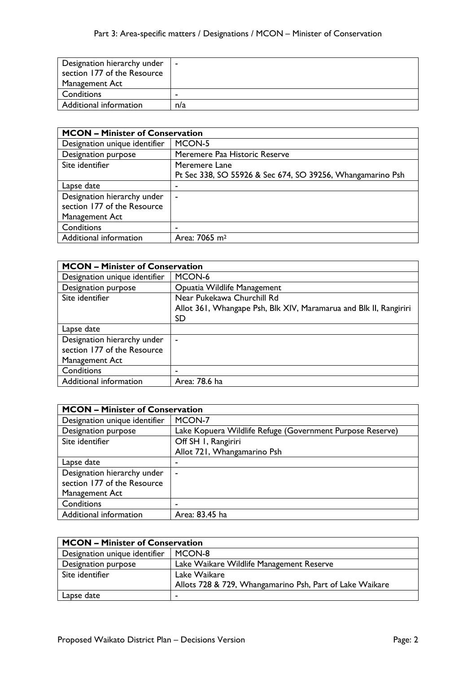| Designation hierarchy under | <b>1</b> |
|-----------------------------|----------|
| section 177 of the Resource |          |
| Management Act              |          |
| Conditions                  | -        |
| Additional information      | n/a      |

| <b>MCON - Minister of Conservation</b> |                                                            |
|----------------------------------------|------------------------------------------------------------|
| Designation unique identifier          | MCON-5                                                     |
| Designation purpose                    | Meremere Paa Historic Reserve                              |
| Site identifier                        | Meremere Lane                                              |
|                                        | Pt Sec 338, SO 55926 & Sec 674, SO 39256, Whangamarino Psh |
| Lapse date                             | ٠                                                          |
| Designation hierarchy under            | ۰                                                          |
| section 177 of the Resource            |                                                            |
| Management Act                         |                                                            |
| Conditions                             | -                                                          |
| Additional information                 | Area: 7065 m <sup>2</sup>                                  |

| <b>MCON - Minister of Conservation</b> |                                                                   |
|----------------------------------------|-------------------------------------------------------------------|
| Designation unique identifier          | MCON-6                                                            |
| Designation purpose                    | Opuatia Wildlife Management                                       |
| Site identifier                        | Near Pukekawa Churchill Rd                                        |
|                                        | Allot 361, Whangape Psh, Blk XIV, Maramarua and Blk II, Rangiriri |
|                                        | SD                                                                |
| Lapse date                             |                                                                   |
| Designation hierarchy under            |                                                                   |
| section 177 of the Resource            |                                                                   |
| Management Act                         |                                                                   |
| Conditions                             |                                                                   |
| Additional information                 | Area: 78.6 ha                                                     |

| <b>MCON - Minister of Conservation</b> |                                                           |
|----------------------------------------|-----------------------------------------------------------|
| Designation unique identifier          | MCON-7                                                    |
| Designation purpose                    | Lake Kopuera Wildlife Refuge (Government Purpose Reserve) |
| Site identifier                        | Off SH 1, Rangiriri                                       |
|                                        | Allot 721, Whangamarino Psh                               |
| Lapse date                             |                                                           |
| Designation hierarchy under            |                                                           |
| section 177 of the Resource            |                                                           |
| Management Act                         |                                                           |
| Conditions                             |                                                           |
| Additional information                 | Area: 83.45 ha                                            |

| <b>MCON - Minister of Conservation</b> |                                                          |
|----------------------------------------|----------------------------------------------------------|
| Designation unique identifier          | MCON-8                                                   |
| Designation purpose                    | Lake Waikare Wildlife Management Reserve                 |
| Site identifier                        | Lake Waikare                                             |
|                                        | Allots 728 & 729, Whangamarino Psh, Part of Lake Waikare |
| Lapse date                             |                                                          |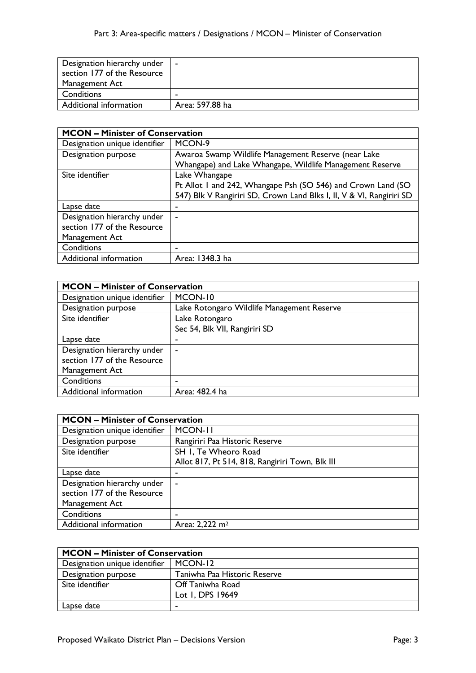| Designation hierarchy under<br>section 177 of the Resource | $\blacksquare$  |
|------------------------------------------------------------|-----------------|
| Management Act                                             |                 |
| Conditions                                                 |                 |
| Additional information                                     | Area: 597.88 ha |

| <b>MCON - Minister of Conservation</b> |                                                                      |
|----------------------------------------|----------------------------------------------------------------------|
| Designation unique identifier          | MCON-9                                                               |
| Designation purpose                    | Awaroa Swamp Wildlife Management Reserve (near Lake                  |
|                                        | Whangape) and Lake Whangape, Wildlife Management Reserve             |
| Site identifier                        | Lake Whangape                                                        |
|                                        | Pt Allot 1 and 242, Whangape Psh (SO 546) and Crown Land (SO         |
|                                        | 547) Blk V Rangiriri SD, Crown Land Blks I, II, V & VI, Rangiriri SD |
| Lapse date                             | ٠                                                                    |
| Designation hierarchy under            | ۰                                                                    |
| section 177 of the Resource            |                                                                      |
| Management Act                         |                                                                      |
| Conditions                             |                                                                      |
| Additional information                 | Area: 1348.3 ha                                                      |

| <b>MCON - Minister of Conservation</b> |                                            |
|----------------------------------------|--------------------------------------------|
| Designation unique identifier          | MCON-10                                    |
| Designation purpose                    | Lake Rotongaro Wildlife Management Reserve |
| Site identifier                        | Lake Rotongaro                             |
|                                        | Sec 54, Blk VII, Rangiriri SD              |
| Lapse date                             | ٠                                          |
| Designation hierarchy under            | ۰                                          |
| section 177 of the Resource            |                                            |
| Management Act                         |                                            |
| Conditions                             |                                            |
| Additional information                 | Area: 482.4 ha                             |

| <b>MCON - Minister of Conservation</b> |                                                 |
|----------------------------------------|-------------------------------------------------|
| Designation unique identifier          | MCON-II                                         |
| Designation purpose                    | Rangiriri Paa Historic Reserve                  |
| Site identifier                        | SH I, Te Wheoro Road                            |
|                                        | Allot 817, Pt 514, 818, Rangiriri Town, Blk III |
| Lapse date                             |                                                 |
| Designation hierarchy under            | ۰                                               |
| section 177 of the Resource            |                                                 |
| Management Act                         |                                                 |
| Conditions                             |                                                 |
| Additional information                 | Area: 2,222 m <sup>2</sup>                      |

| <b>MCON - Minister of Conservation</b> |                              |
|----------------------------------------|------------------------------|
| Designation unique identifier          | MCON-12                      |
| Designation purpose                    | Taniwha Paa Historic Reserve |
| Site identifier                        | Off Taniwha Road             |
|                                        | Lot I, DPS 19649             |
| Lapse date                             |                              |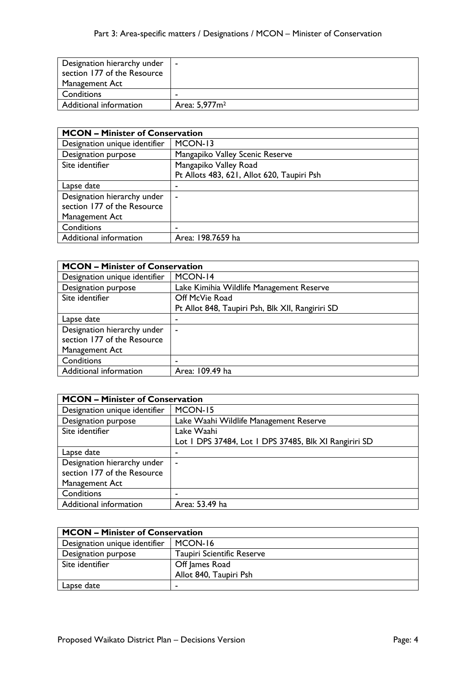| Designation hierarchy under<br>section 177 of the Resource | $\sim$                    |
|------------------------------------------------------------|---------------------------|
| Management Act                                             |                           |
| Conditions                                                 |                           |
| Additional information                                     | Area: 5,977m <sup>2</sup> |

| <b>MCON - Minister of Conservation</b> |                                            |
|----------------------------------------|--------------------------------------------|
| Designation unique identifier          | MCON-13                                    |
| Designation purpose                    | Mangapiko Valley Scenic Reserve            |
| Site identifier                        | Mangapiko Valley Road                      |
|                                        | Pt Allots 483, 621, Allot 620, Taupiri Psh |
| Lapse date                             | ٠                                          |
| Designation hierarchy under            | $\overline{\phantom{a}}$                   |
| section 177 of the Resource            |                                            |
| Management Act                         |                                            |
| Conditions                             | ٠                                          |
| Additional information                 | Area: 198.7659 ha                          |

| <b>MCON - Minister of Conservation</b> |                                                  |
|----------------------------------------|--------------------------------------------------|
| Designation unique identifier          | MCON-14                                          |
| Designation purpose                    | Lake Kimihia Wildlife Management Reserve         |
| Site identifier                        | Off McVie Road                                   |
|                                        | Pt Allot 848, Taupiri Psh, Blk XII, Rangiriri SD |
| Lapse date                             | -                                                |
| Designation hierarchy under            | $\tilde{\phantom{a}}$                            |
| section 177 of the Resource            |                                                  |
| Management Act                         |                                                  |
| Conditions                             | ۰                                                |
| Additional information                 | Area: 109.49 ha                                  |

| <b>MCON - Minister of Conservation</b> |                                                       |
|----------------------------------------|-------------------------------------------------------|
| Designation unique identifier          | MCON-15                                               |
| Designation purpose                    | Lake Waahi Wildlife Management Reserve                |
| Site identifier                        | Lake Waahi                                            |
|                                        | Lot I DPS 37484, Lot I DPS 37485, Blk XI Rangiriri SD |
| Lapse date                             |                                                       |
| Designation hierarchy under            | ۰                                                     |
| section 177 of the Resource            |                                                       |
| Management Act                         |                                                       |
| Conditions                             |                                                       |
| Additional information                 | Area: 53.49 ha                                        |

| <b>MCON - Minister of Conservation</b> |                                   |
|----------------------------------------|-----------------------------------|
| Designation unique identifier          | MCON-16                           |
| Designation purpose                    | <b>Taupiri Scientific Reserve</b> |
| Site identifier                        | Off James Road                    |
|                                        | Allot 840, Taupiri Psh            |
| Lapse date                             |                                   |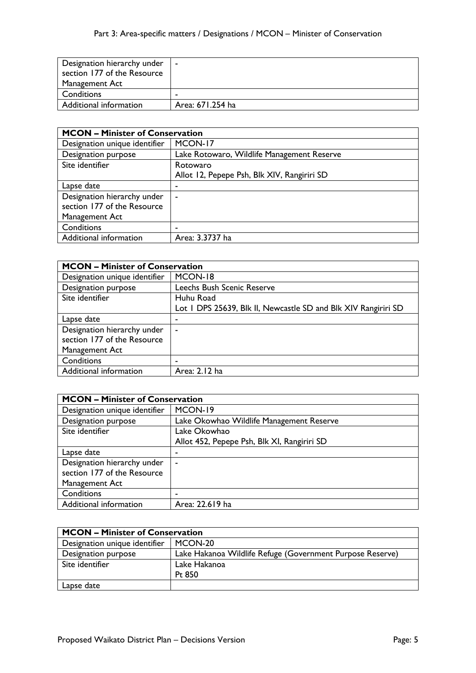| Designation hierarchy under | . .              |
|-----------------------------|------------------|
| section 177 of the Resource |                  |
| Management Act              |                  |
| Conditions                  |                  |
| Additional information      | Area: 671.254 ha |

| <b>MCON - Minister of Conservation</b> |                                             |
|----------------------------------------|---------------------------------------------|
| Designation unique identifier          | MCON-17                                     |
| Designation purpose                    | Lake Rotowaro, Wildlife Management Reserve  |
| Site identifier                        | Rotowaro                                    |
|                                        | Allot 12, Pepepe Psh, Blk XIV, Rangiriri SD |
| Lapse date                             | ۰                                           |
| Designation hierarchy under            | ٠                                           |
| section 177 of the Resource            |                                             |
| Management Act                         |                                             |
| Conditions                             | -                                           |
| Additional information                 | Area: 3.3737 ha                             |

| <b>MCON - Minister of Conservation</b> |                                                                |
|----------------------------------------|----------------------------------------------------------------|
| Designation unique identifier          | MCON-18                                                        |
| Designation purpose                    | Leechs Bush Scenic Reserve                                     |
| Site identifier                        | Huhu Road                                                      |
|                                        | Lot 1 DPS 25639, Blk II, Newcastle SD and Blk XIV Rangiriri SD |
| Lapse date                             |                                                                |
| Designation hierarchy under            | $\blacksquare$                                                 |
| section 177 of the Resource            |                                                                |
| Management Act                         |                                                                |
| Conditions                             |                                                                |
| Additional information                 | Area: 2.12 ha                                                  |

| <b>MCON - Minister of Conservation</b> |                                             |
|----------------------------------------|---------------------------------------------|
| Designation unique identifier          | MCON-19                                     |
| Designation purpose                    | Lake Okowhao Wildlife Management Reserve    |
| Site identifier                        | Lake Okowhao                                |
|                                        | Allot 452, Pepepe Psh, Blk XI, Rangiriri SD |
| Lapse date                             |                                             |
| Designation hierarchy under            | ۰                                           |
| section 177 of the Resource            |                                             |
| Management Act                         |                                             |
| Conditions                             |                                             |
| Additional information                 | Area: 22.619 ha                             |

| <b>MCON - Minister of Conservation</b> |                                                           |
|----------------------------------------|-----------------------------------------------------------|
| Designation unique identifier          | MCON-20                                                   |
| Designation purpose                    | Lake Hakanoa Wildlife Refuge (Government Purpose Reserve) |
| Site identifier                        | Lake Hakanoa                                              |
|                                        | Pt $850$                                                  |
| Lapse date                             |                                                           |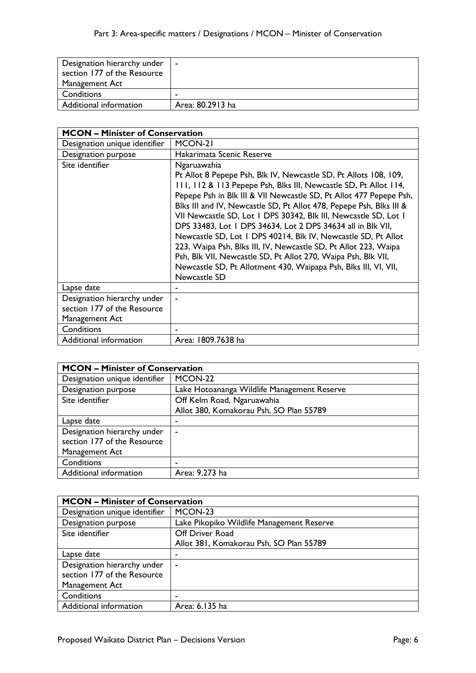| Designation hierarchy under<br>section 177 of the Resource | $\blacksquare$   |
|------------------------------------------------------------|------------------|
| Management Act                                             |                  |
| Conditions                                                 | -                |
| Additional information                                     | Area: 80.2913 ha |

| <b>MCON - Minister of Conservation</b>                                       |                                                                                                                                                                                                                                                                                                                                                                                                                                                                                                                                                                                                                                                                                                                            |
|------------------------------------------------------------------------------|----------------------------------------------------------------------------------------------------------------------------------------------------------------------------------------------------------------------------------------------------------------------------------------------------------------------------------------------------------------------------------------------------------------------------------------------------------------------------------------------------------------------------------------------------------------------------------------------------------------------------------------------------------------------------------------------------------------------------|
| Designation unique identifier                                                | MCON-21                                                                                                                                                                                                                                                                                                                                                                                                                                                                                                                                                                                                                                                                                                                    |
| Designation purpose                                                          | Hakarimata Scenic Reserve                                                                                                                                                                                                                                                                                                                                                                                                                                                                                                                                                                                                                                                                                                  |
| Site identifier                                                              | Ngaruawahia<br>Pt Allot 8 Pepepe Psh, Blk IV, Newcastle SD, Pt Allots 108, 109,<br>111, 112 & 113 Pepepe Psh, Blks III, Newcastle SD, Pt Allot 114,<br>Pepepe Psh in Blk III & VII Newcastle SD, Pt Allot 477 Pepepe Psh,<br>Blks III and IV, Newcastle SD, Pt Allot 478, Pepepe Psh, Blks III &<br>VII Newcastle SD, Lot 1 DPS 30342, Blk III, Newcastle SD, Lot 1<br>DPS 33483, Lot 1 DPS 34634, Lot 2 DPS 34634 all in Blk VII,<br>Newcastle SD, Lot 1 DPS 40214, Blk IV, Newcastle SD, Pt Allot<br>223, Waipa Psh, Blks III, IV, Newcastle SD, Pt Allot 223, Waipa<br>Psh, Blk VII, Newcastle SD, Pt Allot 270, Waipa Psh, Blk VII,<br>Newcastle SD, Pt Allotment 430, Waipapa Psh, Blks III, VI, VII,<br>Newcastle SD |
| Lapse date                                                                   |                                                                                                                                                                                                                                                                                                                                                                                                                                                                                                                                                                                                                                                                                                                            |
| Designation hierarchy under<br>section 177 of the Resource<br>Management Act |                                                                                                                                                                                                                                                                                                                                                                                                                                                                                                                                                                                                                                                                                                                            |
| Conditions                                                                   |                                                                                                                                                                                                                                                                                                                                                                                                                                                                                                                                                                                                                                                                                                                            |
| Additional information                                                       | Area: 1809.7638 ha                                                                                                                                                                                                                                                                                                                                                                                                                                                                                                                                                                                                                                                                                                         |

| <b>MCON - Minister of Conservation</b> |                                             |
|----------------------------------------|---------------------------------------------|
| Designation unique identifier          | MCON-22                                     |
| Designation purpose                    | Lake Hotoananga Wildlife Management Reserve |
| Site identifier                        | Off Kelm Road, Ngaruawahia                  |
|                                        | Allot 380, Komakorau Psh, SO Plan 55789     |
| Lapse date                             | ٠                                           |
| Designation hierarchy under            | ٠                                           |
| section 177 of the Resource            |                                             |
| Management Act                         |                                             |
| Conditions                             | -                                           |
| Additional information                 | Area: 9.273 ha                              |

| <b>MCON - Minister of Conservation</b> |                                           |
|----------------------------------------|-------------------------------------------|
| Designation unique identifier          | MCON-23                                   |
| Designation purpose                    | Lake Pikopiko Wildlife Management Reserve |
| Site identifier                        | <b>Off Driver Road</b>                    |
|                                        | Allot 381, Komakorau Psh, SO Plan 55789   |
| Lapse date                             |                                           |
| Designation hierarchy under            | ۰                                         |
| section 177 of the Resource            |                                           |
| Management Act                         |                                           |
| Conditions                             |                                           |
| Additional information                 | Area: 6.135 ha                            |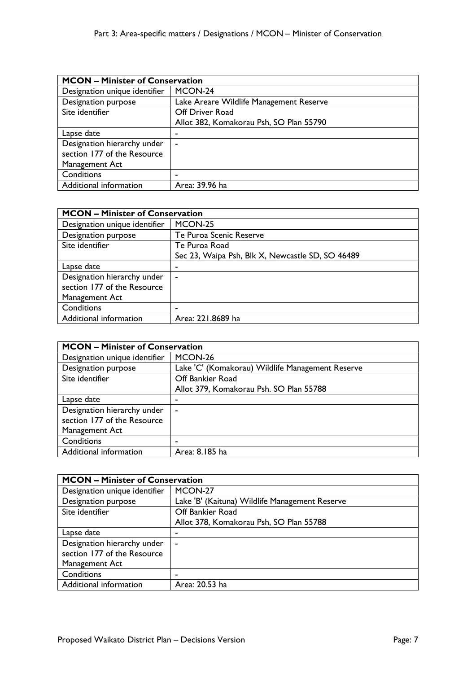| <b>MCON - Minister of Conservation</b> |                                         |
|----------------------------------------|-----------------------------------------|
| Designation unique identifier          | MCON-24                                 |
| Designation purpose                    | Lake Areare Wildlife Management Reserve |
| Site identifier                        | Off Driver Road                         |
|                                        | Allot 382, Komakorau Psh, SO Plan 55790 |
| Lapse date                             | ۰                                       |
| Designation hierarchy under            | $\tilde{\phantom{a}}$                   |
| section 177 of the Resource            |                                         |
| Management Act                         |                                         |
| Conditions                             | -                                       |
| Additional information                 | Area: 39.96 ha                          |

| <b>MCON - Minister of Conservation</b> |                                                  |
|----------------------------------------|--------------------------------------------------|
| Designation unique identifier          | MCON-25                                          |
| Designation purpose                    | Te Puroa Scenic Reserve                          |
| Site identifier                        | Te Puroa Road                                    |
|                                        | Sec 23, Waipa Psh, Blk X, Newcastle SD, SO 46489 |
| Lapse date                             | ٠                                                |
| Designation hierarchy under            | ۰                                                |
| section 177 of the Resource            |                                                  |
| Management Act                         |                                                  |
| Conditions                             |                                                  |
| Additional information                 | Area: 221.8689 ha                                |

| <b>MCON - Minister of Conservation</b> |                                                  |
|----------------------------------------|--------------------------------------------------|
| Designation unique identifier          | MCON-26                                          |
| Designation purpose                    | Lake 'C' (Komakorau) Wildlife Management Reserve |
| Site identifier                        | Off Bankier Road                                 |
|                                        | Allot 379, Komakorau Psh. SO Plan 55788          |
| Lapse date                             |                                                  |
| Designation hierarchy under            | $\blacksquare$                                   |
| section 177 of the Resource            |                                                  |
| Management Act                         |                                                  |
| Conditions                             | -                                                |
| Additional information                 | Area: 8.185 ha                                   |

| <b>MCON - Minister of Conservation</b> |                                                |
|----------------------------------------|------------------------------------------------|
| Designation unique identifier          | MCON-27                                        |
| Designation purpose                    | Lake 'B' (Kaituna) Wildlife Management Reserve |
| Site identifier                        | Off Bankier Road                               |
|                                        | Allot 378, Komakorau Psh, SO Plan 55788        |
| Lapse date                             | ٠                                              |
| Designation hierarchy under            | $\sim$                                         |
| section 177 of the Resource            |                                                |
| Management Act                         |                                                |
| Conditions                             |                                                |
| Additional information                 | Area: 20.53 ha                                 |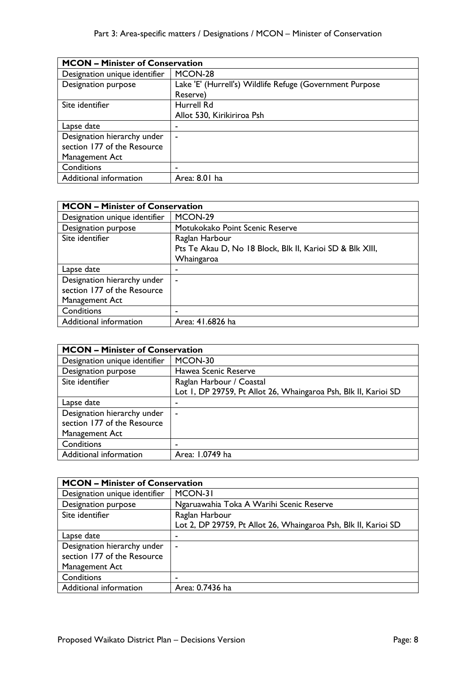| <b>MCON - Minister of Conservation</b> |                                                          |
|----------------------------------------|----------------------------------------------------------|
| Designation unique identifier          | MCON-28                                                  |
| Designation purpose                    | Lake 'E' (Hurrell's) Wildlife Refuge (Government Purpose |
|                                        | Reserve)                                                 |
| Site identifier                        | Hurrell Rd                                               |
|                                        | Allot 530, Kirikiriroa Psh                               |
| Lapse date                             | ٠                                                        |
| Designation hierarchy under            | ۰                                                        |
| section 177 of the Resource            |                                                          |
| Management Act                         |                                                          |
| Conditions                             |                                                          |
| Additional information                 | Area: 8.01 ha                                            |

| <b>MCON - Minister of Conservation</b> |                                                           |
|----------------------------------------|-----------------------------------------------------------|
| Designation unique identifier          | MCON-29                                                   |
| Designation purpose                    | Motukokako Point Scenic Reserve                           |
| Site identifier                        | Raglan Harbour                                            |
|                                        | Pts Te Akau D, No 18 Block, Blk II, Karioi SD & Blk XIII, |
|                                        | Whaingaroa                                                |
| Lapse date                             |                                                           |
| Designation hierarchy under            | ۰                                                         |
| section 177 of the Resource            |                                                           |
| Management Act                         |                                                           |
| Conditions                             |                                                           |
| Additional information                 | Area: 41.6826 ha                                          |

| <b>MCON - Minister of Conservation</b> |                                                                 |
|----------------------------------------|-----------------------------------------------------------------|
| Designation unique identifier          | MCON-30                                                         |
| Designation purpose                    | Hawea Scenic Reserve                                            |
| Site identifier                        | Raglan Harbour / Coastal                                        |
|                                        | Lot I, DP 29759, Pt Allot 26, Whaingaroa Psh, Blk II, Karioi SD |
| Lapse date                             | ٠                                                               |
| Designation hierarchy under            | ۰                                                               |
| section 177 of the Resource            |                                                                 |
| Management Act                         |                                                                 |
| Conditions                             |                                                                 |
| Additional information                 | Area: 1.0749 ha                                                 |

| <b>MCON - Minister of Conservation</b> |                                                                 |
|----------------------------------------|-----------------------------------------------------------------|
| Designation unique identifier          | MCON-31                                                         |
| Designation purpose                    | Ngaruawahia Toka A Warihi Scenic Reserve                        |
| Site identifier                        | Raglan Harbour                                                  |
|                                        | Lot 2, DP 29759, Pt Allot 26, Whaingaroa Psh, Blk II, Karioi SD |
| Lapse date                             | ۰                                                               |
| Designation hierarchy under            | $\sim$                                                          |
| section 177 of the Resource            |                                                                 |
| Management Act                         |                                                                 |
| Conditions                             | ۰                                                               |
| Additional information                 | Area: 0.7436 ha                                                 |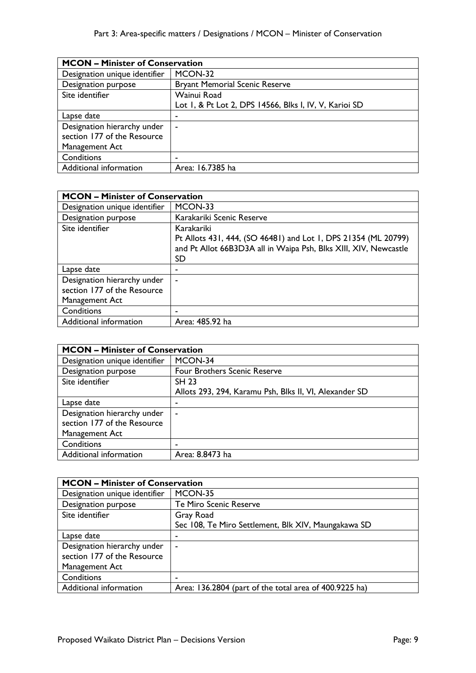| <b>MCON - Minister of Conservation</b> |                                                        |
|----------------------------------------|--------------------------------------------------------|
| Designation unique identifier          | MCON-32                                                |
| Designation purpose                    | <b>Bryant Memorial Scenic Reserve</b>                  |
| Site identifier                        | Wainui Road                                            |
|                                        | Lot 1, & Pt Lot 2, DPS 14566, Blks I, IV, V, Karioi SD |
| Lapse date                             | -                                                      |
| Designation hierarchy under            | ۰                                                      |
| section 177 of the Resource            |                                                        |
| Management Act                         |                                                        |
| Conditions                             |                                                        |
| Additional information                 | Area: 16.7385 ha                                       |

| <b>MCON - Minister of Conservation</b> |                                                                  |
|----------------------------------------|------------------------------------------------------------------|
| Designation unique identifier          | MCON-33                                                          |
| Designation purpose                    | Karakariki Scenic Reserve                                        |
| Site identifier                        | Karakariki                                                       |
|                                        | Pt Allots 431, 444, (SO 46481) and Lot 1, DPS 21354 (ML 20799)   |
|                                        | and Pt Allot 66B3D3A all in Waipa Psh, Blks XIII, XIV, Newcastle |
|                                        | SD                                                               |
| Lapse date                             |                                                                  |
| Designation hierarchy under            | ٠                                                                |
| section 177 of the Resource            |                                                                  |
| Management Act                         |                                                                  |
| Conditions                             |                                                                  |
| Additional information                 | Area: 485.92 ha                                                  |

| <b>MCON - Minister of Conservation</b> |                                                        |
|----------------------------------------|--------------------------------------------------------|
| Designation unique identifier          | MCON-34                                                |
| Designation purpose                    | <b>Four Brothers Scenic Reserve</b>                    |
| Site identifier                        | <b>SH 23</b>                                           |
|                                        | Allots 293, 294, Karamu Psh, Blks II, VI, Alexander SD |
| Lapse date                             | ۰                                                      |
| Designation hierarchy under            | ۰                                                      |
| section 177 of the Resource            |                                                        |
| Management Act                         |                                                        |
| Conditions                             |                                                        |
| Additional information                 | Area: 8.8473 ha                                        |

| <b>MCON - Minister of Conservation</b> |                                                        |
|----------------------------------------|--------------------------------------------------------|
| Designation unique identifier          | MCON-35                                                |
| Designation purpose                    | Te Miro Scenic Reserve                                 |
| Site identifier                        | Gray Road                                              |
|                                        | Sec 108, Te Miro Settlement, Blk XIV, Maungakawa SD    |
| Lapse date                             | ۰                                                      |
| Designation hierarchy under            | $\blacksquare$                                         |
| section 177 of the Resource            |                                                        |
| Management Act                         |                                                        |
| Conditions                             |                                                        |
| Additional information                 | Area: 136.2804 (part of the total area of 400.9225 ha) |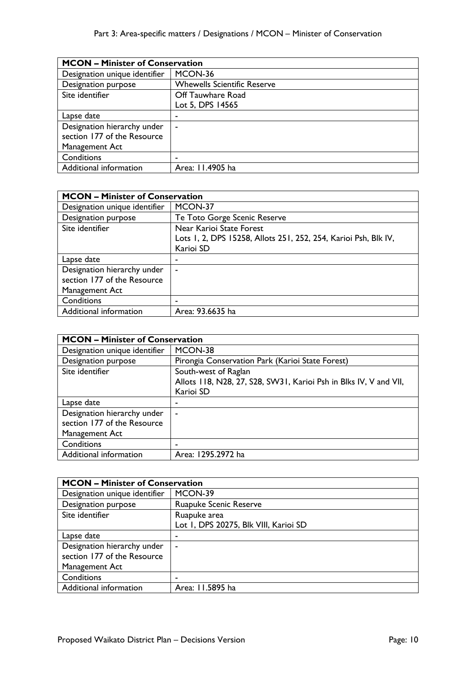| <b>MCON - Minister of Conservation</b> |                                    |
|----------------------------------------|------------------------------------|
| Designation unique identifier          | MCON-36                            |
| Designation purpose                    | <b>Whewells Scientific Reserve</b> |
| Site identifier                        | Off Tauwhare Road                  |
|                                        | Lot 5, DPS 14565                   |
| Lapse date                             |                                    |
| Designation hierarchy under            | $\blacksquare$                     |
| section 177 of the Resource            |                                    |
| Management Act                         |                                    |
| Conditions                             |                                    |
| Additional information                 | Area: 11.4905 ha                   |

| <b>MCON - Minister of Conservation</b> |                                                                 |
|----------------------------------------|-----------------------------------------------------------------|
| Designation unique identifier          | MCON-37                                                         |
| Designation purpose                    | Te Toto Gorge Scenic Reserve                                    |
| Site identifier                        | Near Karioi State Forest                                        |
|                                        | Lots 1, 2, DPS 15258, Allots 251, 252, 254, Karioi Psh, Blk IV, |
|                                        | Karioi SD                                                       |
| Lapse date                             |                                                                 |
| Designation hierarchy under            | ۰                                                               |
| section 177 of the Resource            |                                                                 |
| Management Act                         |                                                                 |
| Conditions                             | ٠                                                               |
| Additional information                 | Area: 93.6635 ha                                                |

| <b>MCON - Minister of Conservation</b> |                                                                   |
|----------------------------------------|-------------------------------------------------------------------|
| Designation unique identifier          | MCON-38                                                           |
| Designation purpose                    | Pirongia Conservation Park (Karioi State Forest)                  |
| Site identifier                        | South-west of Raglan                                              |
|                                        | Allots 118, N28, 27, S28, SW31, Karioi Psh in Blks IV, V and VII, |
|                                        | Karioi SD                                                         |
| Lapse date                             |                                                                   |
| Designation hierarchy under            | $\blacksquare$                                                    |
| section 177 of the Resource            |                                                                   |
| Management Act                         |                                                                   |
| Conditions                             |                                                                   |
| Additional information                 | Area: 1295.2972 ha                                                |

| <b>MCON - Minister of Conservation</b> |                                       |
|----------------------------------------|---------------------------------------|
| Designation unique identifier          | MCON-39                               |
| Designation purpose                    | <b>Ruapuke Scenic Reserve</b>         |
| Site identifier                        | Ruapuke area                          |
|                                        | Lot I, DPS 20275, Blk VIII, Karioi SD |
| Lapse date                             |                                       |
| Designation hierarchy under            | $\blacksquare$                        |
| section 177 of the Resource            |                                       |
| Management Act                         |                                       |
| Conditions                             |                                       |
| Additional information                 | Area: 11.5895 ha                      |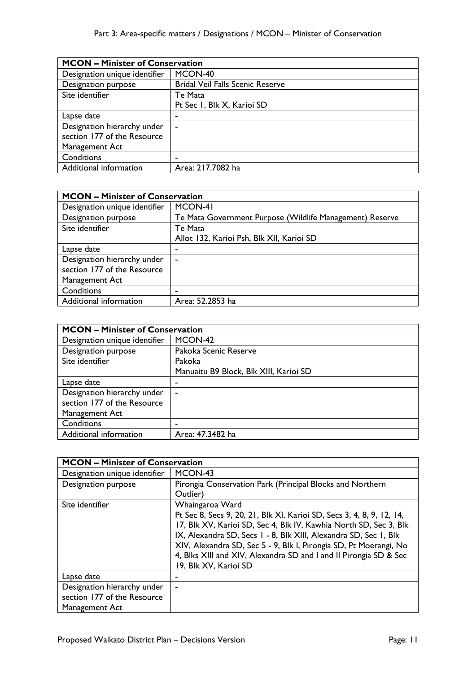|                               | <b>MCON - Minister of Conservation</b>  |  |
|-------------------------------|-----------------------------------------|--|
| Designation unique identifier | MCON-40                                 |  |
| Designation purpose           | <b>Bridal Veil Falls Scenic Reserve</b> |  |
| Site identifier               | Te Mata                                 |  |
|                               | Pt Sec 1, Blk X, Karioi SD              |  |
| Lapse date                    | ٠                                       |  |
| Designation hierarchy under   | ۰                                       |  |
| section 177 of the Resource   |                                         |  |
| Management Act                |                                         |  |
| Conditions                    | ۰                                       |  |
| Additional information        | Area: 217.7082 ha                       |  |

| <b>MCON - Minister of Conservation</b> |                                                          |
|----------------------------------------|----------------------------------------------------------|
| Designation unique identifier          | MCON-41                                                  |
| Designation purpose                    | Te Mata Government Purpose (Wildlife Management) Reserve |
| Site identifier                        | Te Mata                                                  |
|                                        | Allot 132, Karioi Psh, Blk XII, Karioi SD                |
| Lapse date                             | -                                                        |
| Designation hierarchy under            | ۰                                                        |
| section 177 of the Resource            |                                                          |
| Management Act                         |                                                          |
| Conditions                             |                                                          |
| Additional information                 | Area: 52.2853 ha                                         |

| <b>MCON - Minister of Conservation</b> |                                        |
|----------------------------------------|----------------------------------------|
| Designation unique identifier          | MCON-42                                |
| Designation purpose                    | Pakoka Scenic Reserve                  |
| Site identifier                        | Pakoka                                 |
|                                        | Manuaitu B9 Block, Blk XIII, Karioi SD |
| Lapse date                             | ٠                                      |
| Designation hierarchy under            | $\blacksquare$                         |
| section 177 of the Resource            |                                        |
| Management Act                         |                                        |
| Conditions                             |                                        |
| Additional information                 | Area: 47.3482 ha                       |

| <b>MCON - Minister of Conservation</b> |                                                                       |
|----------------------------------------|-----------------------------------------------------------------------|
| Designation unique identifier          | MCON-43                                                               |
| Designation purpose                    | Pirongia Conservation Park (Principal Blocks and Northern             |
|                                        | Outlier)                                                              |
| Site identifier                        | Whaingaroa Ward                                                       |
|                                        | Pt Sec 8, Secs 9, 20, 21, Blk XI, Karioi SD, Secs 3, 4, 8, 9, 12, 14, |
|                                        | 17, Blk XV, Karioi SD, Sec 4, Blk IV, Kawhia North SD, Sec 3, Blk     |
|                                        | IX, Alexandra SD, Secs 1 - 8, Blk XIII, Alexandra SD, Sec 1, Blk      |
|                                        | XIV, Alexandra SD, Sec 5 - 9, Blk I, Pirongia SD, Pt Moerangi, No     |
|                                        | 4, Blks XIII and XIV, Alexandra SD and I and II Pirongia SD & Sec     |
|                                        | 19, Blk XV, Karioi SD                                                 |
| Lapse date                             |                                                                       |
| Designation hierarchy under            |                                                                       |
| section 177 of the Resource            |                                                                       |
| Management Act                         |                                                                       |